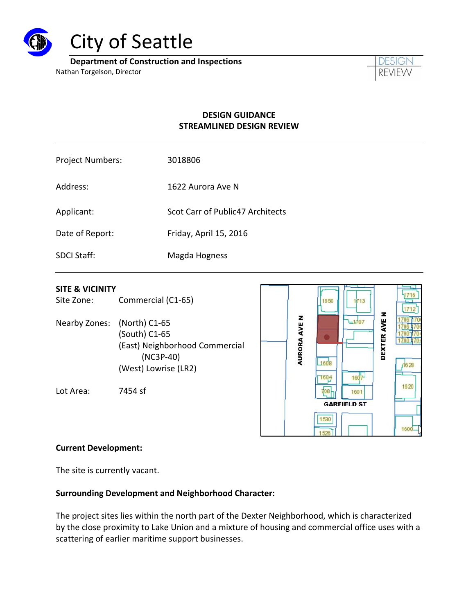

# City of Seattle

**Department of Construction and Inspections**

Nathan Torgelson, Director



# **DESIGN GUIDANCE STREAMLINED DESIGN REVIEW**

| <b>Project Numbers:</b> | 3018806                          |
|-------------------------|----------------------------------|
| Address:                | 1622 Aurora Ave N                |
| Applicant:              | Scot Carr of Public47 Architects |
| Date of Report:         | Friday, April 15, 2016           |
| <b>SDCI Staff:</b>      | Magda Hogness                    |

#### **SITE & VICINITY**

Site Zone: Commercial (C1-65)

Nearby Zones: (North) C1‐65 (South) C1‐65 (East) Neighborhood Commercial (NC3P‐40) (West) Lowrise (LR2)

Lot Area: 7454 sf



#### **Current Development:**

The site is currently vacant.

#### **Surrounding Development and Neighborhood Character:**

The project sites lies within the north part of the Dexter Neighborhood, which is characterized by the close proximity to Lake Union and a mixture of housing and commercial office uses with a scattering of earlier maritime support businesses.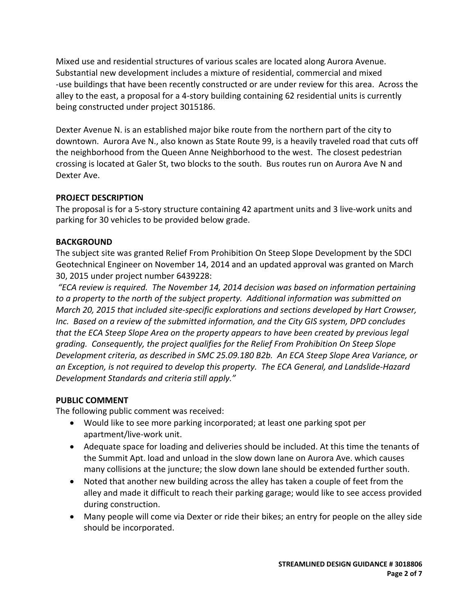Mixed use and residential structures of various scales are located along Aurora Avenue. Substantial new development includes a mixture of residential, commercial and mixed ‐use buildings that have been recently constructed or are under review for this area. Across the alley to the east, a proposal for a 4‐story building containing 62 residential units is currently being constructed under project 3015186.

Dexter Avenue N. is an established major bike route from the northern part of the city to downtown. Aurora Ave N., also known as State Route 99, is a heavily traveled road that cuts off the neighborhood from the Queen Anne Neighborhood to the west. The closest pedestrian crossing is located at Galer St, two blocks to the south. Bus routes run on Aurora Ave N and Dexter Ave.

# **PROJECT DESCRIPTION**

The proposal is for a 5‐story structure containing 42 apartment units and 3 live‐work units and parking for 30 vehicles to be provided below grade.

#### **BACKGROUND**

The subject site was granted Relief From Prohibition On Steep Slope Development by the SDCI Geotechnical Engineer on November 14, 2014 and an updated approval was granted on March 30, 2015 under project number 6439228:

*"ECA review is required. The November 14, 2014 decision was based on information pertaining to a property to the north of the subject property. Additional information was submitted on March 20, 2015 that included site‐specific explorations and sections developed by Hart Crowser, Inc. Based on a review of the submitted information, and the City GIS system, DPD concludes that the ECA Steep Slope Area on the property appears to have been created by previous legal grading. Consequently, the project qualifies for the Relief From Prohibition On Steep Slope Development criteria, as described in SMC 25.09.180 B2b. An ECA Steep Slope Area Variance, or an Exception, is not required to develop this property. The ECA General, and Landslide‐Hazard Development Standards and criteria still apply."*

#### **PUBLIC COMMENT**

The following public comment was received:

- Would like to see more parking incorporated; at least one parking spot per apartment/live‐work unit.
- Adequate space for loading and deliveries should be included. At this time the tenants of the Summit Apt. load and unload in the slow down lane on Aurora Ave. which causes many collisions at the juncture; the slow down lane should be extended further south.
- Noted that another new building across the alley has taken a couple of feet from the alley and made it difficult to reach their parking garage; would like to see access provided during construction.
- Many people will come via Dexter or ride their bikes; an entry for people on the alley side should be incorporated.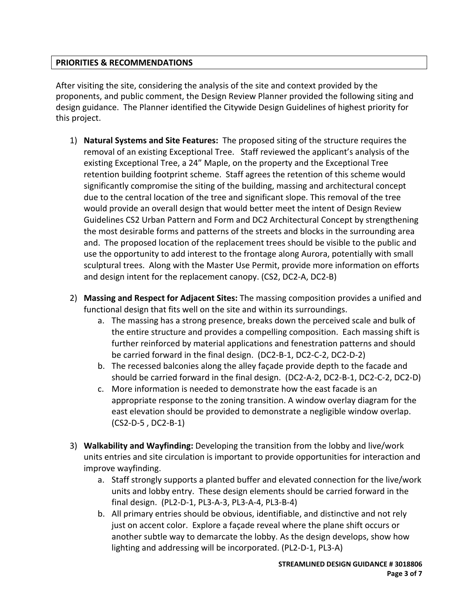#### **PRIORITIES & RECOMMENDATIONS**

After visiting the site, considering the analysis of the site and context provided by the proponents, and public comment, the Design Review Planner provided the following siting and design guidance. The Planner identified the Citywide Design Guidelines of highest priority for this project.

- 1) **Natural Systems and Site Features:** The proposed siting of the structure requires the removal of an existing Exceptional Tree. Staff reviewed the applicant's analysis of the existing Exceptional Tree, a 24" Maple, on the property and the Exceptional Tree retention building footprint scheme. Staff agrees the retention of this scheme would significantly compromise the siting of the building, massing and architectural concept due to the central location of the tree and significant slope. This removal of the tree would provide an overall design that would better meet the intent of Design Review Guidelines CS2 Urban Pattern and Form and DC2 Architectural Concept by strengthening the most desirable forms and patterns of the streets and blocks in the surrounding area and. The proposed location of the replacement trees should be visible to the public and use the opportunity to add interest to the frontage along Aurora, potentially with small sculptural trees. Along with the Master Use Permit, provide more information on efforts and design intent for the replacement canopy. (CS2, DC2‐A, DC2‐B)
- 2) **Massing and Respect for Adjacent Sites:** The massing composition provides a unified and functional design that fits well on the site and within its surroundings.
	- a. The massing has a strong presence, breaks down the perceived scale and bulk of the entire structure and provides a compelling composition. Each massing shift is further reinforced by material applications and fenestration patterns and should be carried forward in the final design. (DC2‐B‐1, DC2‐C‐2, DC2‐D‐2)
	- b. The recessed balconies along the alley façade provide depth to the facade and should be carried forward in the final design. (DC2‐A‐2, DC2‐B‐1, DC2‐C‐2, DC2‐D)
	- c. More information is needed to demonstrate how the east facade is an appropriate response to the zoning transition. A window overlay diagram for the east elevation should be provided to demonstrate a negligible window overlap. (CS2‐D‐5 , DC2‐B‐1)
- 3) **Walkability and Wayfinding:** Developing the transition from the lobby and live/work units entries and site circulation is important to provide opportunities for interaction and improve wayfinding.
	- a. Staff strongly supports a planted buffer and elevated connection for the live/work units and lobby entry. These design elements should be carried forward in the final design. (PL2‐D‐1, PL3‐A‐3, PL3‐A‐4, PL3‐B‐4)
	- b. All primary entries should be obvious, identifiable, and distinctive and not rely just on accent color. Explore a façade reveal where the plane shift occurs or another subtle way to demarcate the lobby. As the design develops, show how lighting and addressing will be incorporated. (PL2‐D‐1, PL3‐A)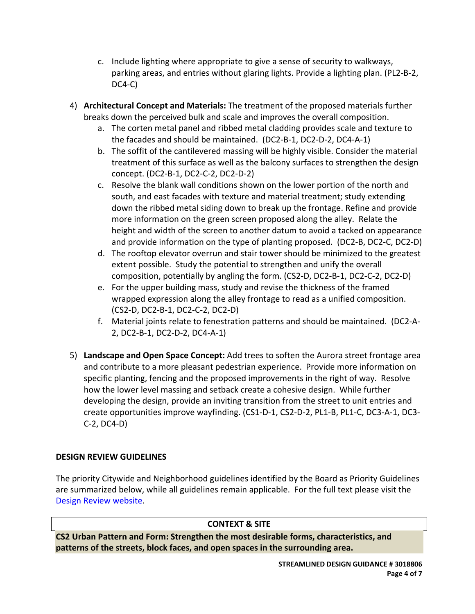- c. Include lighting where appropriate to give a sense of security to walkways, parking areas, and entries without glaring lights. Provide a lighting plan. (PL2‐B‐2, DC4‐C)
- 4) **Architectural Concept and Materials:** The treatment of the proposed materials further breaks down the perceived bulk and scale and improves the overall composition.
	- a. The corten metal panel and ribbed metal cladding provides scale and texture to the facades and should be maintained. (DC2‐B‐1, DC2‐D‐2, DC4‐A‐1)
	- b. The soffit of the cantilevered massing will be highly visible. Consider the material treatment of this surface as well as the balcony surfaces to strengthen the design concept. (DC2‐B‐1, DC2‐C‐2, DC2‐D‐2)
	- c. Resolve the blank wall conditions shown on the lower portion of the north and south, and east facades with texture and material treatment; study extending down the ribbed metal siding down to break up the frontage. Refine and provide more information on the green screen proposed along the alley. Relate the height and width of the screen to another datum to avoid a tacked on appearance and provide information on the type of planting proposed. (DC2‐B, DC2‐C, DC2‐D)
	- d. The rooftop elevator overrun and stair tower should be minimized to the greatest extent possible. Study the potential to strengthen and unify the overall composition, potentially by angling the form. (CS2‐D, DC2‐B‐1, DC2‐C‐2, DC2‐D)
	- e. For the upper building mass, study and revise the thickness of the framed wrapped expression along the alley frontage to read as a unified composition. (CS2‐D, DC2‐B‐1, DC2‐C‐2, DC2‐D)
	- f. Material joints relate to fenestration patterns and should be maintained. (DC2‐A‐ 2, DC2‐B‐1, DC2‐D‐2, DC4‐A‐1)
- 5) **Landscape and Open Space Concept:** Add trees to soften the Aurora street frontage area and contribute to a more pleasant pedestrian experience. Provide more information on specific planting, fencing and the proposed improvements in the right of way. Resolve how the lower level massing and setback create a cohesive design. While further developing the design, provide an inviting transition from the street to unit entries and create opportunities improve wayfinding. (CS1‐D‐1, CS2‐D‐2, PL1‐B, PL1‐C, DC3‐A‐1, DC3‐ C‐2, DC4‐D)

# **DESIGN REVIEW GUIDELINES**

The priority Citywide and Neighborhood guidelines identified by the Board as Priority Guidelines are summarized below, while all guidelines remain applicable. For the full text please visit the Design Review website.

# **CONTEXT & SITE**

**CS2 Urban Pattern and Form: Strengthen the most desirable forms, characteristics, and patterns of the streets, block faces, and open spaces in the surrounding area.**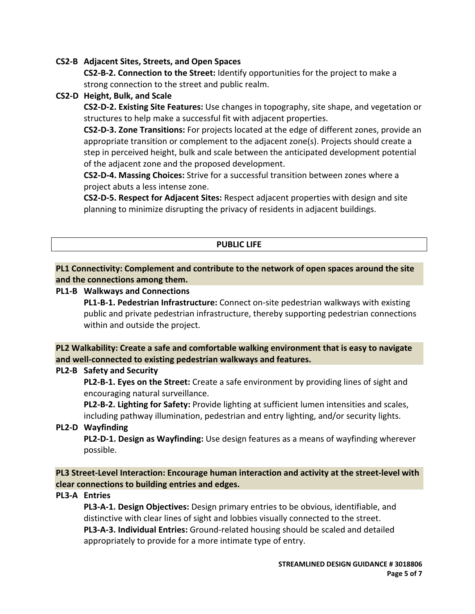#### **CS2‐B Adjacent Sites, Streets, and Open Spaces**

**CS2‐B‐2. Connection to the Street:** Identify opportunities for the project to make a strong connection to the street and public realm.

**CS2‐D Height, Bulk, and Scale**

**CS2‐D‐2. Existing Site Features:** Use changes in topography, site shape, and vegetation or structures to help make a successful fit with adjacent properties.

**CS2‐D‐3. Zone Transitions:** For projects located at the edge of different zones, provide an appropriate transition or complement to the adjacent zone(s). Projects should create a step in perceived height, bulk and scale between the anticipated development potential of the adjacent zone and the proposed development.

**CS2‐D‐4. Massing Choices:** Strive for a successful transition between zones where a project abuts a less intense zone.

**CS2‐D‐5. Respect for Adjacent Sites:** Respect adjacent properties with design and site planning to minimize disrupting the privacy of residents in adjacent buildings.

#### **PUBLIC LIFE**

#### **PL1 Connectivity: Complement and contribute to the network of open spaces around the site and the connections among them.**

**PL1‐B Walkways and Connections**

**PL1‐B‐1. Pedestrian Infrastructure:** Connect on‐site pedestrian walkways with existing public and private pedestrian infrastructure, thereby supporting pedestrian connections within and outside the project.

**PL2 Walkability: Create a safe and comfortable walking environment that is easy to navigate and well‐connected to existing pedestrian walkways and features.**

#### **PL2‐B Safety and Security**

**PL2‐B‐1. Eyes on the Street:** Create a safe environment by providing lines of sight and encouraging natural surveillance.

**PL2‐B‐2. Lighting for Safety:** Provide lighting at sufficient lumen intensities and scales, including pathway illumination, pedestrian and entry lighting, and/or security lights.

#### **PL2‐D Wayfinding**

**PL2‐D‐1. Design as Wayfinding:** Use design features as a means of wayfinding wherever possible.

**PL3 Street‐Level Interaction: Encourage human interaction and activity at the street‐level with clear connections to building entries and edges.**

#### **PL3‐A Entries**

**PL3‐A‐1. Design Objectives:** Design primary entries to be obvious, identifiable, and distinctive with clear lines of sight and lobbies visually connected to the street. **PL3‐A‐3. Individual Entries:** Ground‐related housing should be scaled and detailed appropriately to provide for a more intimate type of entry.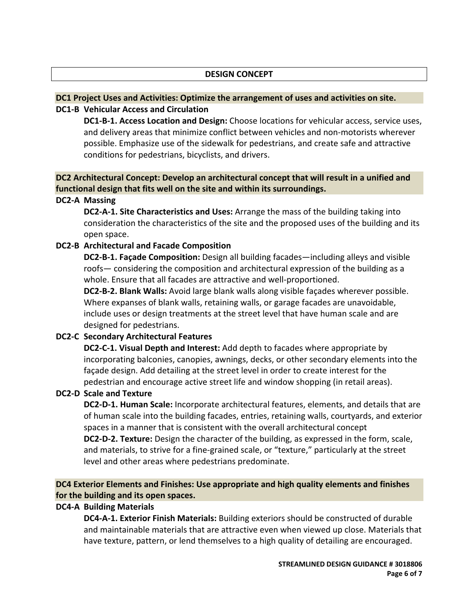#### **DESIGN CONCEPT**

# **DC1 Project Uses and Activities: Optimize the arrangement of uses and activities on site.**

#### **DC1‐B Vehicular Access and Circulation**

**DC1‐B‐1. Access Location and Design:** Choose locations for vehicular access, service uses, and delivery areas that minimize conflict between vehicles and non‐motorists wherever possible. Emphasize use of the sidewalk for pedestrians, and create safe and attractive conditions for pedestrians, bicyclists, and drivers.

# **DC2 Architectural Concept: Develop an architectural concept that will result in a unified and functional design that fits well on the site and within its surroundings.**

#### **DC2‐A Massing**

**DC2‐A‐1. Site Characteristics and Uses:** Arrange the mass of the building taking into consideration the characteristics of the site and the proposed uses of the building and its open space.

#### **DC2‐B Architectural and Facade Composition**

**DC2‐B‐1. Façade Composition:** Design all building facades—including alleys and visible roofs— considering the composition and architectural expression of the building as a whole. Ensure that all facades are attractive and well-proportioned.

**DC2‐B‐2. Blank Walls:** Avoid large blank walls along visible façades wherever possible. Where expanses of blank walls, retaining walls, or garage facades are unavoidable, include uses or design treatments at the street level that have human scale and are designed for pedestrians.

# **DC2‐C Secondary Architectural Features**

**DC2‐C‐1. Visual Depth and Interest:** Add depth to facades where appropriate by incorporating balconies, canopies, awnings, decks, or other secondary elements into the façade design. Add detailing at the street level in order to create interest for the pedestrian and encourage active street life and window shopping (in retail areas).

# **DC2‐D Scale and Texture**

**DC2‐D‐1. Human Scale:** Incorporate architectural features, elements, and details that are of human scale into the building facades, entries, retaining walls, courtyards, and exterior spaces in a manner that is consistent with the overall architectural concept

**DC2‐D‐2. Texture:** Design the character of the building, as expressed in the form, scale, and materials, to strive for a fine‐grained scale, or "texture," particularly at the street level and other areas where pedestrians predominate.

# **DC4 Exterior Elements and Finishes: Use appropriate and high quality elements and finishes for the building and its open spaces.**

#### **DC4‐A Building Materials**

**DC4‐A‐1. Exterior Finish Materials:** Building exteriors should be constructed of durable and maintainable materials that are attractive even when viewed up close. Materials that have texture, pattern, or lend themselves to a high quality of detailing are encouraged.